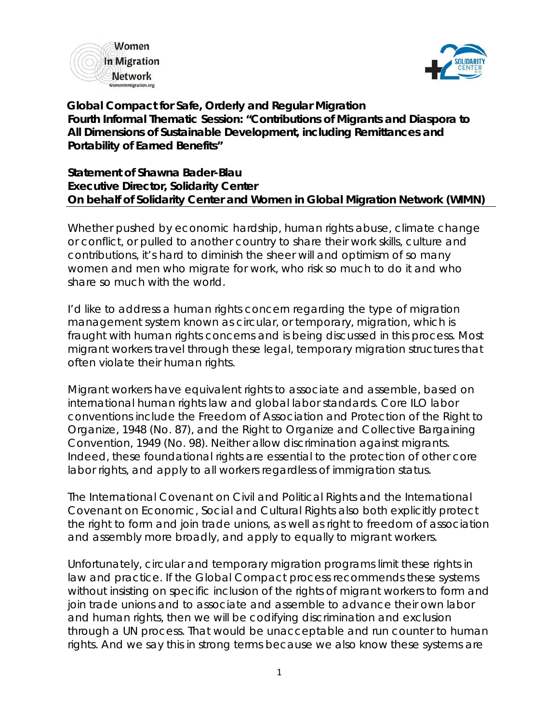



 **Global Compact for Safe, Orderly and Regular Migration Fourth Informal Thematic Session: "Contributions of Migrants and Diaspora to All Dimensions of Sustainable Development, including Remittances and Portability of Earned Benefits"**

**Statement of Shawna Bader-Blau Executive Director, Solidarity Center On behalf of Solidarity Center and Women in Global Migration Network (WIMN)**

Whether pushed by economic hardship, human rights abuse, climate change or conflict, or pulled to another country to share their work skills, culture and contributions, it's hard to diminish the sheer will and optimism of so many women and men who migrate for work, who risk so much to do it and who share so much with the world.

I'd like to address a human rights concern regarding the type of migration management system known as circular, or temporary, migration, which is fraught with human rights concerns and is being discussed in this process. Most migrant workers travel through these legal, temporary migration structures that often violate their human rights.

Migrant workers have equivalent rights to associate and assemble, based on international human rights law and global labor standards. Core ILO labor conventions include the Freedom of Association and Protection of the Right to Organize, 1948 (No. 87), and the Right to Organize and Collective Bargaining Convention, 1949 (No. 98). Neither allow discrimination against migrants. Indeed, these foundational rights are essential to the protection of other core labor rights, and apply to all workers regardless of immigration status.

The International Covenant on Civil and Political Rights and the International Covenant on Economic, Social and Cultural Rights also both explicitly protect the right to form and join trade unions, as well as right to freedom of association and assembly more broadly, and apply to equally to migrant workers.

Unfortunately, circular and temporary migration programs limit these rights in law and practice. If the Global Compact process recommends these systems without insisting on specific inclusion of the rights of migrant workers to form and join trade unions and to associate and assemble to advance their own labor and human rights, then we will be codifying discrimination and exclusion through a UN process. That would be unacceptable and run counter to human rights. And we say this in strong terms because we also know these systems are